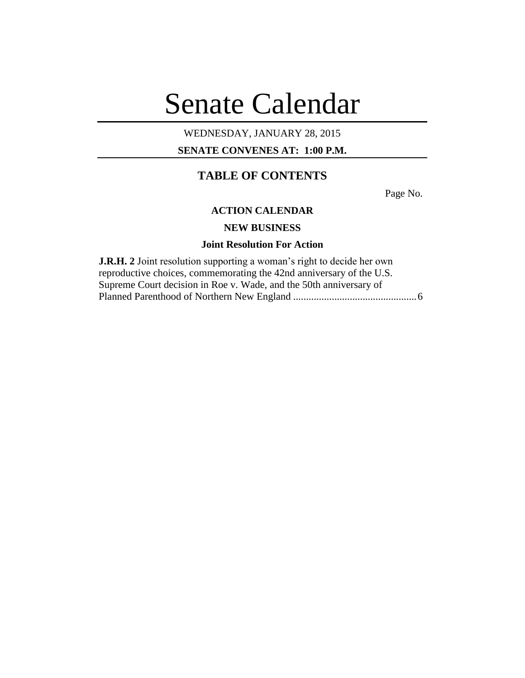# Senate Calendar

# WEDNESDAY, JANUARY 28, 2015

**SENATE CONVENES AT: 1:00 P.M.**

# **TABLE OF CONTENTS**

Page No.

### **ACTION CALENDAR**

# **NEW BUSINESS**

#### **Joint Resolution For Action**

**J.R.H. 2** Joint resolution supporting a woman's right to decide her own reproductive choices, commemorating the 42nd anniversary of the U.S. Supreme Court decision in Roe v. Wade, and the 50th anniversary of Planned Parenthood of Northern New England ................................................6